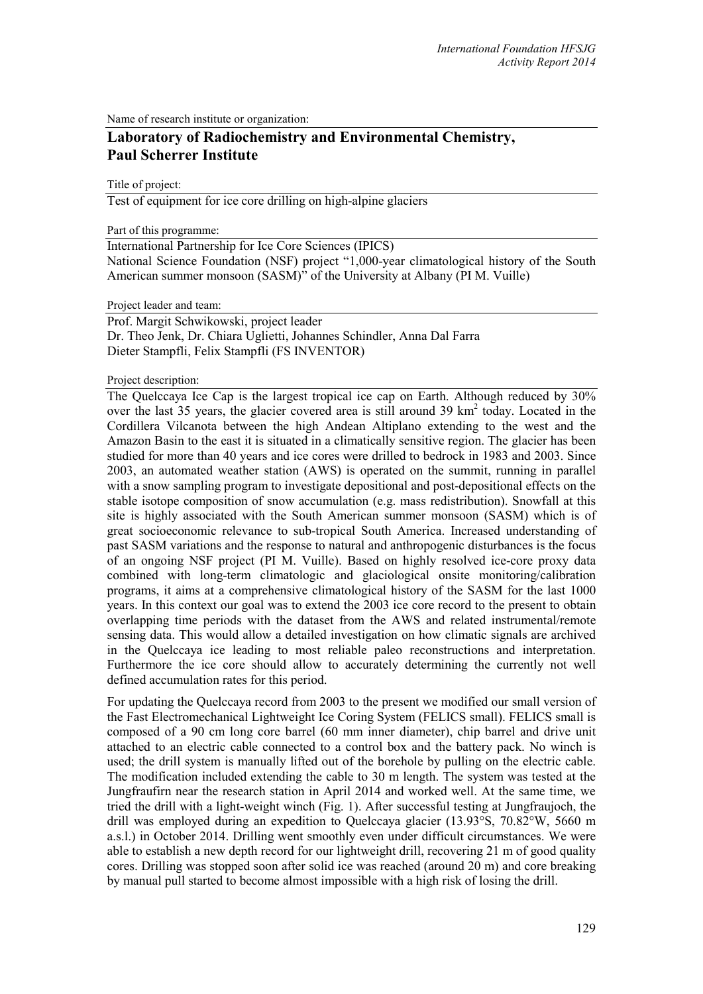Name of research institute or organization:

# **Laboratory of Radiochemistry and Environmental Chemistry, Paul Scherrer Institute**

Title of project:

Test of equipment for ice core drilling on high-alpine glaciers

Part of this programme:

International Partnership for Ice Core Sciences (IPICS) National Science Foundation (NSF) project "1,000-year climatological history of the South American summer monsoon (SASM)" of the University at Albany (PI M. Vuille)

Project leader and team:

Prof. Margit Schwikowski, project leader Dr. Theo Jenk, Dr. Chiara Uglietti, Johannes Schindler, Anna Dal Farra Dieter Stampfli, Felix Stampfli (FS INVENTOR)

Project description:

The Quelccaya Ice Cap is the largest tropical ice cap on Earth. Although reduced by  $30\%$ over the last 35 years, the glacier covered area is still around 39 km<sup>2</sup> today. Located in the Cordillera Vilcanota between the high Andean Altiplano extending to the west and the Amazon Basin to the east it is situated in a climatically sensitive region. The glacier has been studied for more than 40 years and ice cores were drilled to bedrock in 1983 and 2003. Since 2003, an automated weather station (AWS) is operated on the summit, running in parallel with a snow sampling program to investigate depositional and post-depositional effects on the stable isotope composition of snow accumulation (e.g. mass redistribution). Snowfall at this site is highly associated with the South American summer monsoon (SASM) which is of great socioeconomic relevance to sub-tropical South America. Increased understanding of past SASM variations and the response to natural and anthropogenic disturbances is the focus of an ongoing NSF project (PI M. Vuille). Based on highly resolved ice-core proxy data combined with long-term climatologic and glaciological onsite monitoring/calibration programs, it aims at a comprehensive climatological history of the SASM for the last 1000 years. In this context our goal was to extend the 2003 ice core record to the present to obtain overlapping time periods with the dataset from the AWS and related instrumental/remote sensing data. This would allow a detailed investigation on how climatic signals are archived in the Quelccaya ice leading to most reliable paleo reconstructions and interpretation. Furthermore the ice core should allow to accurately determining the currently not well defined accumulation rates for this period.

For updating the Quelccaya record from 2003 to the present we modified our small version of the Fast Electromechanical Lightweight Ice Coring System (FELICS small). FELICS small is composed of a 90 cm long core barrel (60 mm inner diameter), chip barrel and drive unit attached to an electric cable connected to a control box and the battery pack. No winch is used; the drill system is manually lifted out of the borehole by pulling on the electric cable. The modification included extending the cable to 30 m length. The system was tested at the Jungfraufirn near the research station in April 2014 and worked well. At the same time, we tried the drill with a light-weight winch (Fig. 1). After successful testing at Jungfraujoch, the drill was employed during an expedition to Quelccaya glacier (13.93°S, 70.82°W, 5660 m a.s.l.) in October 2014. Drilling went smoothly even under difficult circumstances. We were able to establish a new depth record for our lightweight drill, recovering 21 m of good quality cores. Drilling was stopped soon after solid ice was reached (around 20 m) and core breaking by manual pull started to become almost impossible with a high risk of losing the drill.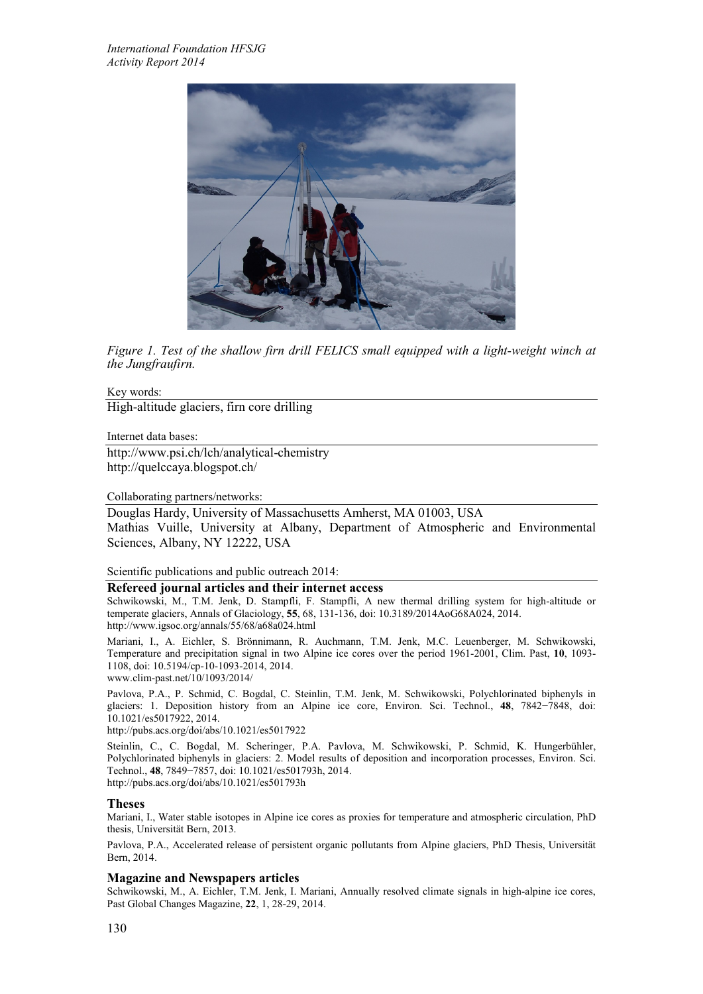

*Figure 1. Test of the shallow firn drill FELICS small equipped with a light-weight winch at the Jungfraufirn.*

## Key words:

High-altitude glaciers, firn core drilling

Internet data bases:

http://www.psi.ch/lch/analytical-chemistry http://quelccaya.blogspot.ch/

#### Collaborating partners/networks:

Douglas Hardy, University of Massachusetts Amherst, MA 01003, USA Mathias Vuille, University at Albany, Department of Atmospheric and Environmental Sciences, Albany, NY 12222, USA

Scientific publications and public outreach 2014:

#### **Refereed journal articles and their internet access**

Schwikowski, M., T.M. Jenk, D. Stampfli, F. Stampfli, A new thermal drilling system for high-altitude or temperate glaciers, Annals of Glaciology, **55**, 68, 131-136, doi: 10.3189/2014AoG68A024, 2014. http://www.igsoc.org/annals/55/68/a68a024.html

Mariani, I., A. Eichler, S. Brönnimann, R. Auchmann, T.M. Jenk, M.C. Leuenberger, M. Schwikowski, Temperature and precipitation signal in two Alpine ice cores over the period 1961-2001, Clim. Past, **10**, 1093- 1108, doi: 10.5194/cp-10-1093-2014, 2014. www.clim-past.net/10/1093/2014/

Pavlova, P.A., P. Schmid, C. Bogdal, C. Steinlin, T.M. Jenk, M. Schwikowski, Polychlorinated biphenyls in glaciers: 1. Deposition history from an Alpine ice core, Environ. Sci. Technol., **48**, 7842−7848, doi: 10.1021/es5017922, 2014.

http://pubs.acs.org/doi/abs/10.1021/es5017922

Steinlin, C., C. Bogdal, M. Scheringer, P.A. Pavlova, M. Schwikowski, P. Schmid, K. Hungerbühler, Polychlorinated biphenyls in glaciers: 2. Model results of deposition and incorporation processes, Environ. Sci. Technol., **48**, 7849−7857, doi: 10.1021/es501793h, 2014. http://pubs.acs.org/doi/abs/10.1021/es501793h

## **Theses**

Mariani, I., Water stable isotopes in Alpine ice cores as proxies for temperature and atmospheric circulation, PhD thesis, Universität Bern, 2013.

Pavlova, P.A., Accelerated release of persistent organic pollutants from Alpine glaciers, PhD Thesis, Universität Bern, 2014.

#### **Magazine and Newspapers articles**

Schwikowski, M., A. Eichler, T.M. Jenk, I. Mariani, Annually resolved climate signals in high-alpine ice cores, Past Global Changes Magazine, **22**, 1, 28-29, 2014.